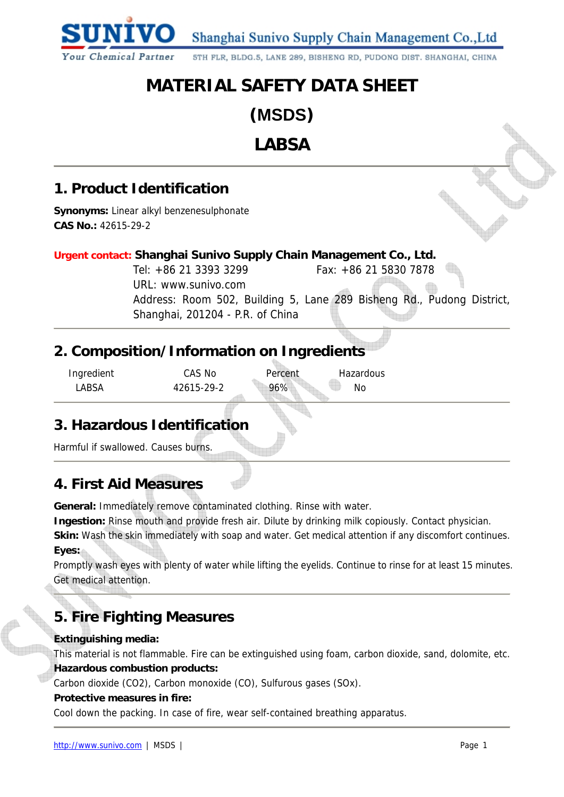Shanghai Sunivo Supply Chain Management Co., Ltd

5TH FLR, BLDG.5, LANE 289, BISHENG RD, PUDONG DIST. SHANGHAI, CHINA

# **MATERIAL SAFETY DATA SHEET**

**(MSDS)** 

**LABSA** 

## **1. Product Identification**

**Your Chemical Partner** 

**Synonyms:** Linear alkyl benzenesulphonate **CAS No.:** 42615-29-2

## **Urgent contact: Shanghai Sunivo Supply Chain Management Co., Ltd.**

Tel: +86 21 3393 3299 Fax: +86 21 5830 7878 URL: www.sunivo.com Address: Room 502, Building 5, Lane 289 Bisheng Rd., Pudong District, Shanghai, 201204 - P.R. of China

## **2. Composition/Information on Ingredients**

Ingredient CAS No Percent Hazardous

LABSA 42615-29-2 96% No

## **3. Hazardous Identification**

Harmful if swallowed. Causes burns.

## **4. First Aid Measures**

**General:** Immediately remove contaminated clothing. Rinse with water.

**Ingestion:** Rinse mouth and provide fresh air. Dilute by drinking milk copiously. Contact physician.

**Skin:** Wash the skin immediately with soap and water. Get medical attention if any discomfort continues. **Eyes:**

Promptly wash eyes with plenty of water while lifting the eyelids. Continue to rinse for at least 15 minutes. Get medical attention.

# **5. Fire Fighting Measures**

## **Extinguishing media:**

This material is not flammable. Fire can be extinguished using foam, carbon dioxide, sand, dolomite, etc. **Hazardous combustion products:** 

Carbon dioxide (CO2), Carbon monoxide (CO), Sulfurous gases (SOx).

#### **Protective measures in fire:**

Cool down the packing. In case of fire, wear self-contained breathing apparatus.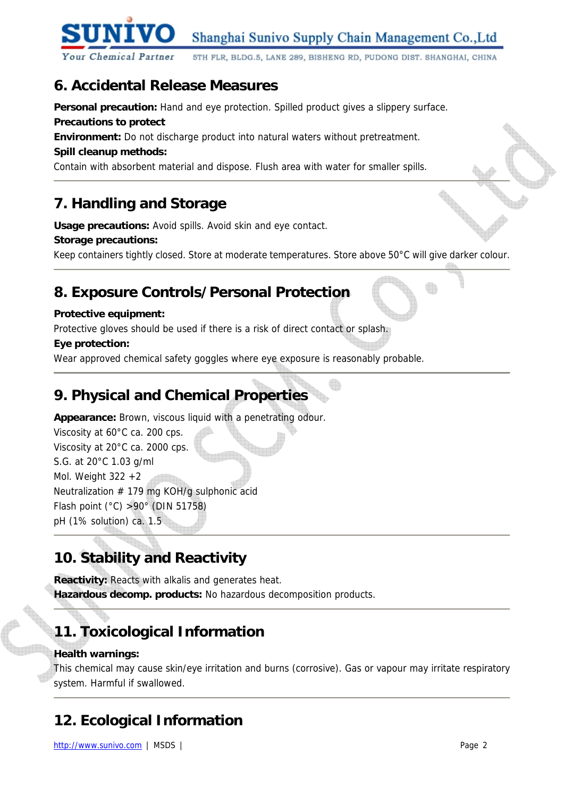

5TH FLR, BLDG.5, LANE 289, BISHENG RD, PUDONG DIST. SHANGHAI, CHINA

## **6. Accidental Release Measures**

Personal precaution: Hand and eye protection. Spilled product gives a slippery surface.

#### **Precautions to protect**

**Environment:** Do not discharge product into natural waters without pretreatment.

## **Spill cleanup methods:**

Contain with absorbent material and dispose. Flush area with water for smaller spills.

# **7. Handling and Storage**

**Usage precautions:** Avoid spills. Avoid skin and eye contact.

## **Storage precautions:**

Keep containers tightly closed. Store at moderate temperatures. Store above 50°C will give darker colour.

## **8. Exposure Controls/Personal Protection**

## **Protective equipment:**

Protective gloves should be used if there is a risk of direct contact or splash.

## **Eye protection:**

Wear approved chemical safety goggles where eye exposure is reasonably probable.

# **9. Physical and Chemical Properties**

**Appearance:** Brown, viscous liquid with a penetrating odour.

Viscosity at 60°C ca. 200 cps. Viscosity at 20°C ca. 2000 cps. S.G. at 20°C 1.03 g/ml Mol. Weight  $322 + 2$ Neutralization # 179 mg KOH/g sulphonic acid Flash point (°C) >90° (DIN 51758) pH (1% solution) ca. 1.5

# **10. Stability and Reactivity**

**Reactivity:** Reacts with alkalis and generates heat. **Hazardous decomp. products:** No hazardous decomposition products.

# **11. Toxicological Information**

## **Health warnings:**

This chemical may cause skin/eye irritation and burns (corrosive). Gas or vapour may irritate respiratory system. Harmful if swallowed.

# **12. Ecological Information**